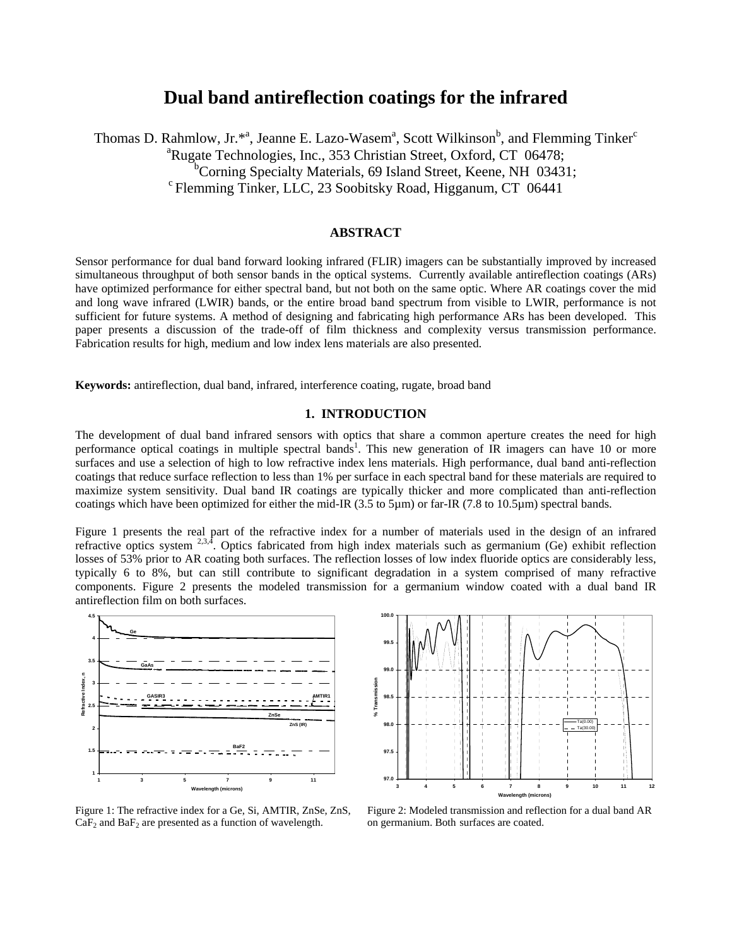# **Dual band antireflection coatings for the infrared**

Thomas D. Rahmlow, Jr.\*<sup>a</sup>, Jeanne E. Lazo-Wasem<sup>a</sup>, Scott Wilkinson<sup>b</sup>, and Flemming Tinker<sup>c</sup> <sup>a</sup>Rugate Technologies, Inc., 353 Christian Street, Oxford, CT 06478; <sup>b</sup>Corning Specialty Materials, 69 Island Street, Keene, NH 03431;  $\textdegree$ Flemming Tinker, LLC, 23 Soobitsky Road, Higganum, CT 06441

## **ABSTRACT**

Sensor performance for dual band forward looking infrared (FLIR) imagers can be substantially improved by increased simultaneous throughput of both sensor bands in the optical systems. Currently available antireflection coatings (ARs) have optimized performance for either spectral band, but not both on the same optic. Where AR coatings cover the mid and long wave infrared (LWIR) bands, or the entire broad band spectrum from visible to LWIR, performance is not sufficient for future systems. A method of designing and fabricating high performance ARs has been developed. This paper presents a discussion of the trade-off of film thickness and complexity versus transmission performance. Fabrication results for high, medium and low index lens materials are also presented.

**Keywords:** antireflection, dual band, infrared, interference coating, rugate, broad band

#### **1. INTRODUCTION**

The development of dual band infrared sensors with optics that share a common aperture creates the need for high performance optical coatings in multiple spectral bands<sup>1</sup>. This new generation of  $\overline{IR}$  imagers can have 10 or more surfaces and use a selection of high to low refractive index lens materials. High performance, dual band anti-reflection coatings that reduce surface reflection to less than 1% per surface in each spectral band for these materials are required to maximize system sensitivity. Dual band IR coatings are typically thicker and more complicated than anti-reflection coatings which have been optimized for either the mid-IR (3.5 to 5µm) or far-IR (7.8 to 10.5µm) spectral bands.

Figure 1 presents the real part of the refractive index for a number of materials used in the design of an infrared refractive optics system  $^{2,3,4}$ . Optics fabricated from high index materials such as germanium (Ge) exhibit reflection losses of 53% prior to AR coating both surfaces. The reflection losses of low index fluoride optics are considerably less, typically 6 to 8%, but can still contribute to significant degradation in a system comprised of many refractive components. Figure 2 presents the modeled transmission for a germanium window coated with a dual band IR antireflection film on both surfaces.





Figure 1: The refractive index for a Ge, Si, AMTIR, ZnSe, ZnS,  $CaF<sub>2</sub>$  and  $BaF<sub>2</sub>$  are presented as a function of wavelength.

Figure 2: Modeled transmission and reflection for a dual band AR on germanium. Both surfaces are coated.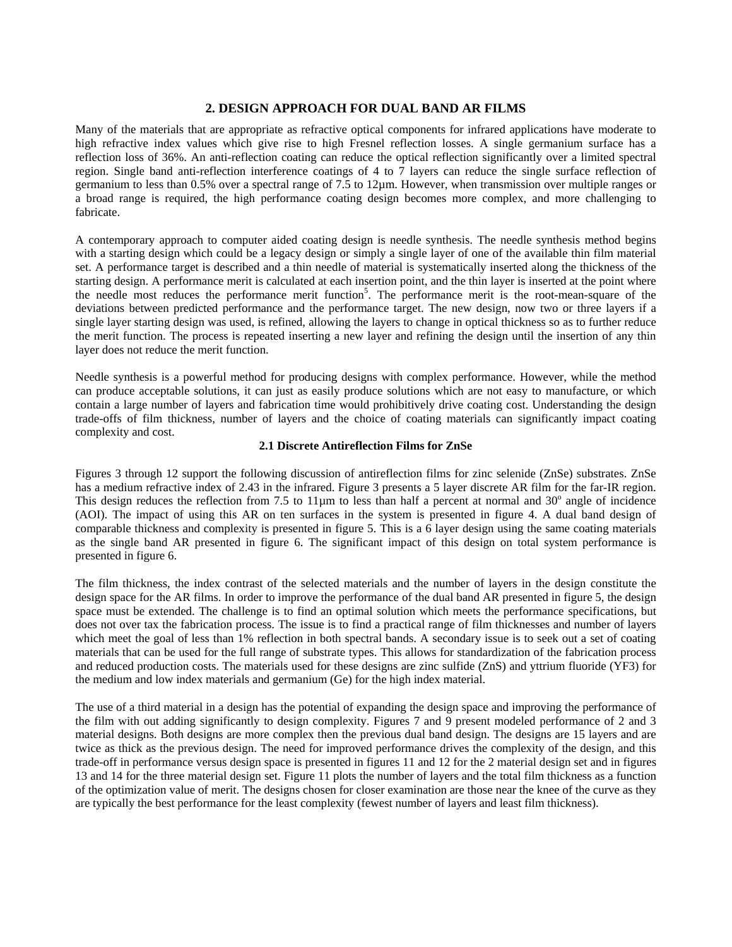## **2. DESIGN APPROACH FOR DUAL BAND AR FILMS**

Many of the materials that are appropriate as refractive optical components for infrared applications have moderate to high refractive index values which give rise to high Fresnel reflection losses. A single germanium surface has a reflection loss of 36%. An anti-reflection coating can reduce the optical reflection significantly over a limited spectral region. Single band anti-reflection interference coatings of 4 to 7 layers can reduce the single surface reflection of germanium to less than 0.5% over a spectral range of 7.5 to 12µm. However, when transmission over multiple ranges or a broad range is required, the high performance coating design becomes more complex, and more challenging to fabricate.

A contemporary approach to computer aided coating design is needle synthesis. The needle synthesis method begins with a starting design which could be a legacy design or simply a single layer of one of the available thin film material set. A performance target is described and a thin needle of material is systematically inserted along the thickness of the starting design. A performance merit is calculated at each insertion point, and the thin layer is inserted at the point where the needle most reduces the performance merit function<sup>5</sup>. The performance merit is the root-mean-square of the deviations between predicted performance and the performance target. The new design, now two or three layers if a single layer starting design was used, is refined, allowing the layers to change in optical thickness so as to further reduce the merit function. The process is repeated inserting a new layer and refining the design until the insertion of any thin layer does not reduce the merit function.

Needle synthesis is a powerful method for producing designs with complex performance. However, while the method can produce acceptable solutions, it can just as easily produce solutions which are not easy to manufacture, or which contain a large number of layers and fabrication time would prohibitively drive coating cost. Understanding the design trade-offs of film thickness, number of layers and the choice of coating materials can significantly impact coating complexity and cost.

#### **2.1 Discrete Antireflection Films for ZnSe**

Figures 3 through 12 support the following discussion of antireflection films for zinc selenide (ZnSe) substrates. ZnSe has a medium refractive index of 2.43 in the infrared. Figure 3 presents a 5 layer discrete AR film for the far-IR region. This design reduces the reflection from 7.5 to  $11\mu$ m to less than half a percent at normal and  $30^\circ$  angle of incidence (AOI). The impact of using this AR on ten surfaces in the system is presented in figure 4. A dual band design of comparable thickness and complexity is presented in figure 5. This is a 6 layer design using the same coating materials as the single band AR presented in figure 6. The significant impact of this design on total system performance is presented in figure 6.

The film thickness, the index contrast of the selected materials and the number of layers in the design constitute the design space for the AR films. In order to improve the performance of the dual band AR presented in figure 5, the design space must be extended. The challenge is to find an optimal solution which meets the performance specifications, but does not over tax the fabrication process. The issue is to find a practical range of film thicknesses and number of layers which meet the goal of less than 1% reflection in both spectral bands. A secondary issue is to seek out a set of coating materials that can be used for the full range of substrate types. This allows for standardization of the fabrication process and reduced production costs. The materials used for these designs are zinc sulfide (ZnS) and yttrium fluoride (YF3) for the medium and low index materials and germanium (Ge) for the high index material.

The use of a third material in a design has the potential of expanding the design space and improving the performance of the film with out adding significantly to design complexity. Figures 7 and 9 present modeled performance of 2 and 3 material designs. Both designs are more complex then the previous dual band design. The designs are 15 layers and are twice as thick as the previous design. The need for improved performance drives the complexity of the design, and this trade-off in performance versus design space is presented in figures 11 and 12 for the 2 material design set and in figures 13 and 14 for the three material design set. Figure 11 plots the number of layers and the total film thickness as a function of the optimization value of merit. The designs chosen for closer examination are those near the knee of the curve as they are typically the best performance for the least complexity (fewest number of layers and least film thickness).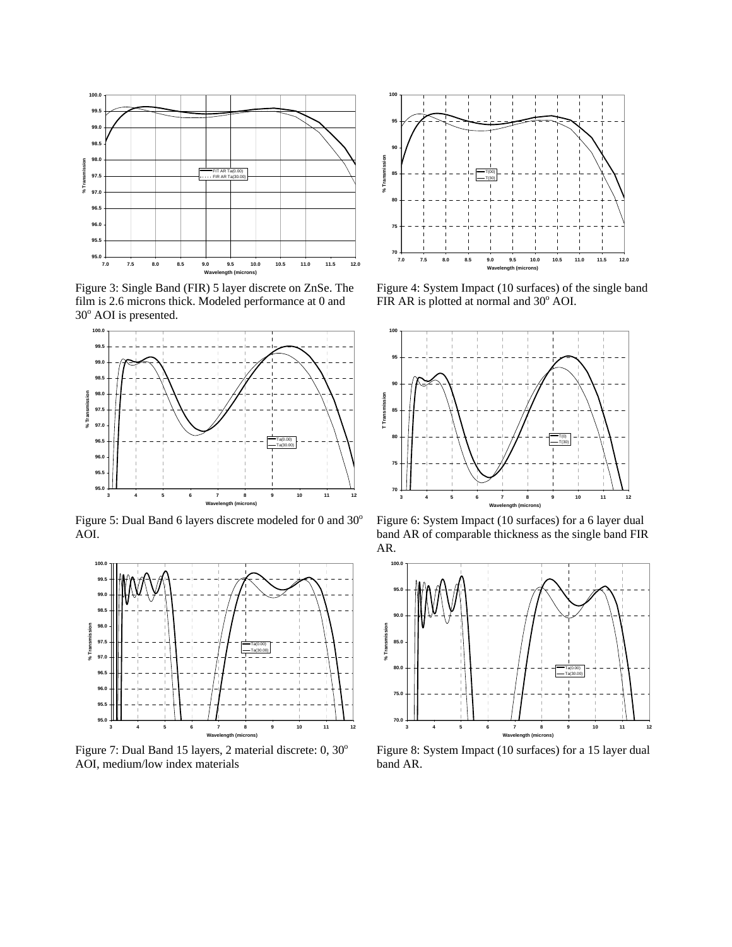

Figure 3: Single Band (FIR) 5 layer discrete on ZnSe. The film is 2.6 microns thick. Modeled performance at 0 and 30<sup>°</sup> AOI is presented.



Figure 5: Dual Band 6 layers discrete modeled for 0 and  $30^{\circ}$ AOI.



Figure 7: Dual Band 15 layers, 2 material discrete: 0, 30° AOI, medium/low index materials



Figure 4: System Impact (10 surfaces) of the single band FIR AR is plotted at normal and  $30^{\circ}$  AOI.



Figure 6: System Impact (10 surfaces) for a 6 layer dual band AR of comparable thickness as the single band FIR AR.



Figure 8: System Impact (10 surfaces) for a 15 layer dual band AR.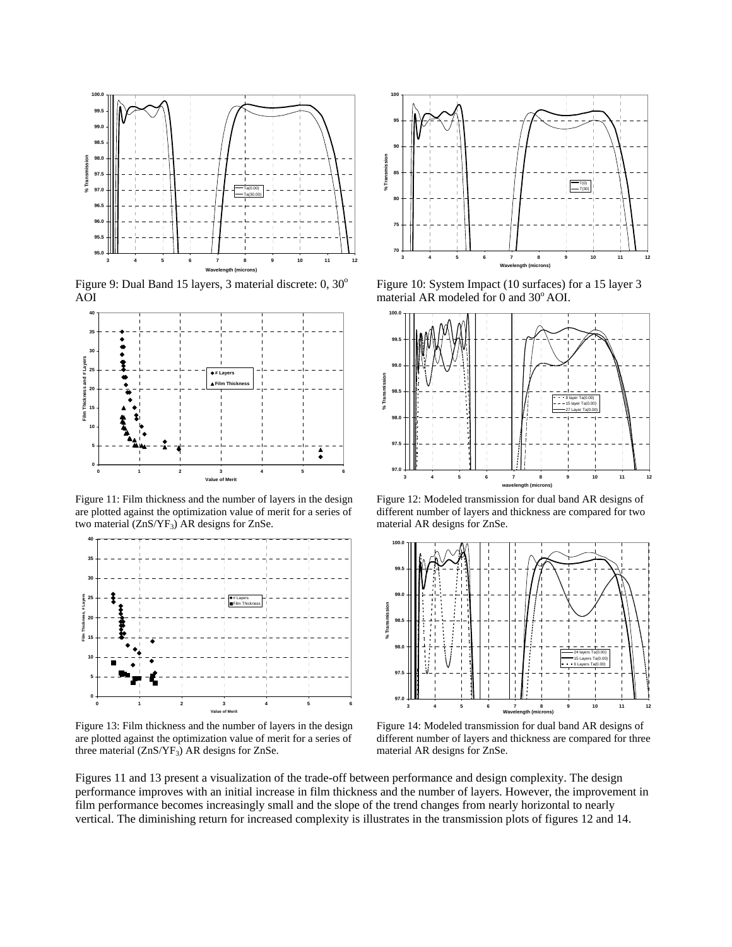

Figure 9: Dual Band 15 layers, 3 material discrete:  $0, 30^{\circ}$ AOI



Figure 11: Film thickness and the number of layers in the design are plotted against the optimization value of merit for a series of two material  $(ZnS/VF<sub>3</sub>)$  AR designs for ZnSe.



Figure 13: Film thickness and the number of layers in the design are plotted against the optimization value of merit for a series of three material  $(ZnS/YF_3)$  AR designs for ZnSe.



Figure 10: System Impact (10 surfaces) for a 15 layer 3 material AR modeled for 0 and 30° AOI.



Figure 12: Modeled transmission for dual band AR designs of different number of layers and thickness are compared for two material AR designs for ZnSe.



Figure 14: Modeled transmission for dual band AR designs of different number of layers and thickness are compared for three material AR designs for ZnSe.

Figures 11 and 13 present a visualization of the trade-off between performance and design complexity. The design performance improves with an initial increase in film thickness and the number of layers. However, the improvement in film performance becomes increasingly small and the slope of the trend changes from nearly horizontal to nearly vertical. The diminishing return for increased complexity is illustrates in the transmission plots of figures 12 and 14.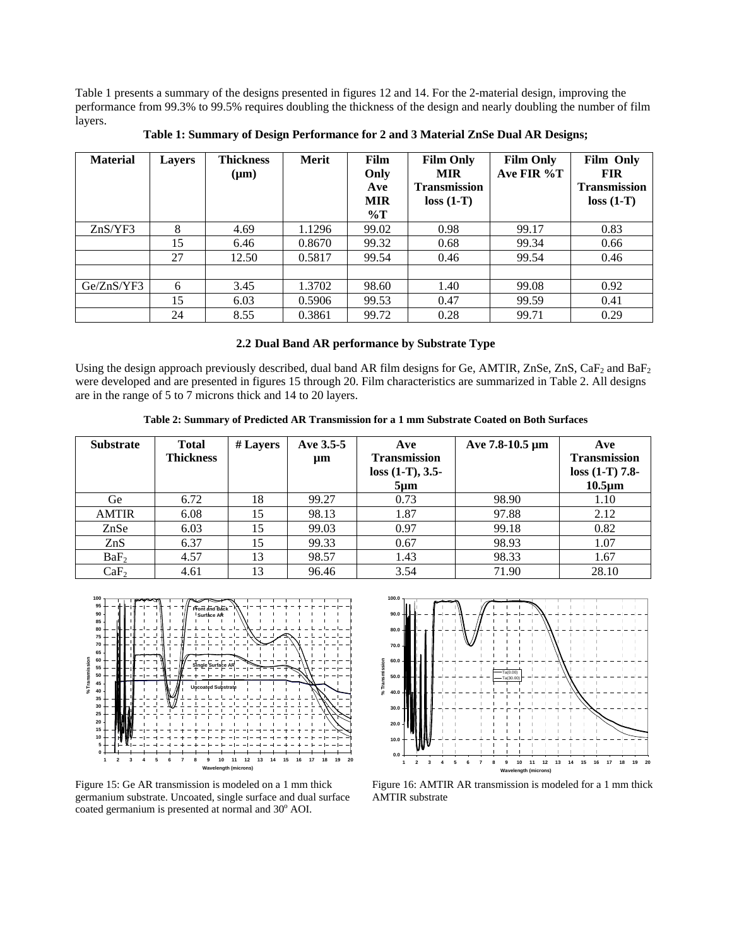Table 1 presents a summary of the designs presented in figures 12 and 14. For the 2-material design, improving the performance from 99.3% to 99.5% requires doubling the thickness of the design and nearly doubling the number of film layers.

| <b>Material</b> | <b>Layers</b> | <b>Thickness</b><br>$(\mu m)$ | <b>Merit</b> | <b>Film</b><br>Only<br>Ave<br><b>MIR</b><br>$\%T$ | <b>Film Only</b><br><b>MIR</b><br><b>Transmission</b><br>$loss (1-T)$ | <b>Film Only</b><br>Ave FIR $\%T$ | <b>Film Only</b><br><b>FIR</b><br><b>Transmission</b><br>$loss (1-T)$ |
|-----------------|---------------|-------------------------------|--------------|---------------------------------------------------|-----------------------------------------------------------------------|-----------------------------------|-----------------------------------------------------------------------|
| ZnS/YF3         | 8             | 4.69                          | 1.1296       | 99.02                                             | 0.98                                                                  | 99.17                             | 0.83                                                                  |
|                 | 15            | 6.46                          | 0.8670       | 99.32                                             | 0.68                                                                  | 99.34                             | 0.66                                                                  |
|                 | 27            | 12.50                         | 0.5817       | 99.54                                             | 0.46                                                                  | 99.54                             | 0.46                                                                  |
|                 |               |                               |              |                                                   |                                                                       |                                   |                                                                       |
| Ge/ZnS/YF3      | 6             | 3.45                          | 1.3702       | 98.60                                             | 1.40                                                                  | 99.08                             | 0.92                                                                  |
|                 | 15            | 6.03                          | 0.5906       | 99.53                                             | 0.47                                                                  | 99.59                             | 0.41                                                                  |
|                 | 24            | 8.55                          | 0.3861       | 99.72                                             | 0.28                                                                  | 99.71                             | 0.29                                                                  |

**Table 1: Summary of Design Performance for 2 and 3 Material ZnSe Dual AR Designs;** 

### **2.2 Dual Band AR performance by Substrate Type**

Using the design approach previously described, dual band AR film designs for Ge, AMTIR, ZnSe, ZnS, CaF<sub>2</sub> and BaF<sub>2</sub> were developed and are presented in figures 15 through 20. Film characteristics are summarized in Table 2. All designs are in the range of 5 to 7 microns thick and 14 to 20 layers.

**Table 2: Summary of Predicted AR Transmission for a 1 mm Substrate Coated on Both Surfaces** 

| <b>Substrate</b> | <b>Total</b><br><b>Thickness</b> | $#$ Layers | Ave 3.5-5<br>μm | Ave<br>Transmission<br>$loss (1-T), 3.5-$<br>$5 \mu m$ | Ave 7.8-10.5 µm | Ave<br>Transmission<br>$loss (1-T) 7.8-$<br>$10.5 \mu m$ |
|------------------|----------------------------------|------------|-----------------|--------------------------------------------------------|-----------------|----------------------------------------------------------|
| Ge               | 6.72                             | 18         | 99.27           | 0.73                                                   | 98.90           | 1.10                                                     |
| <b>AMTIR</b>     | 6.08                             | 15         | 98.13           | 1.87                                                   | 97.88           | 2.12                                                     |
| ZnSe             | 6.03                             | 15         | 99.03           | 0.97                                                   | 99.18           | 0.82                                                     |
| ZnS              | 6.37                             | 15         | 99.33           | 0.67                                                   | 98.93           | 1.07                                                     |
| BaF <sub>2</sub> | 4.57                             | 13         | 98.57           | 1.43                                                   | 98.33           | 1.67                                                     |
| CaF <sub>2</sub> | 4.61                             | 13         | 96.46           | 3.54                                                   | 71.90           | 28.10                                                    |



Figure 15: Ge AR transmission is modeled on a 1 mm thick germanium substrate. Uncoated, single surface and dual surface coated germanium is presented at normal and  $30^{\circ}$  AOI.



Figure 16: AMTIR AR transmission is modeled for a 1 mm thick AMTIR substrate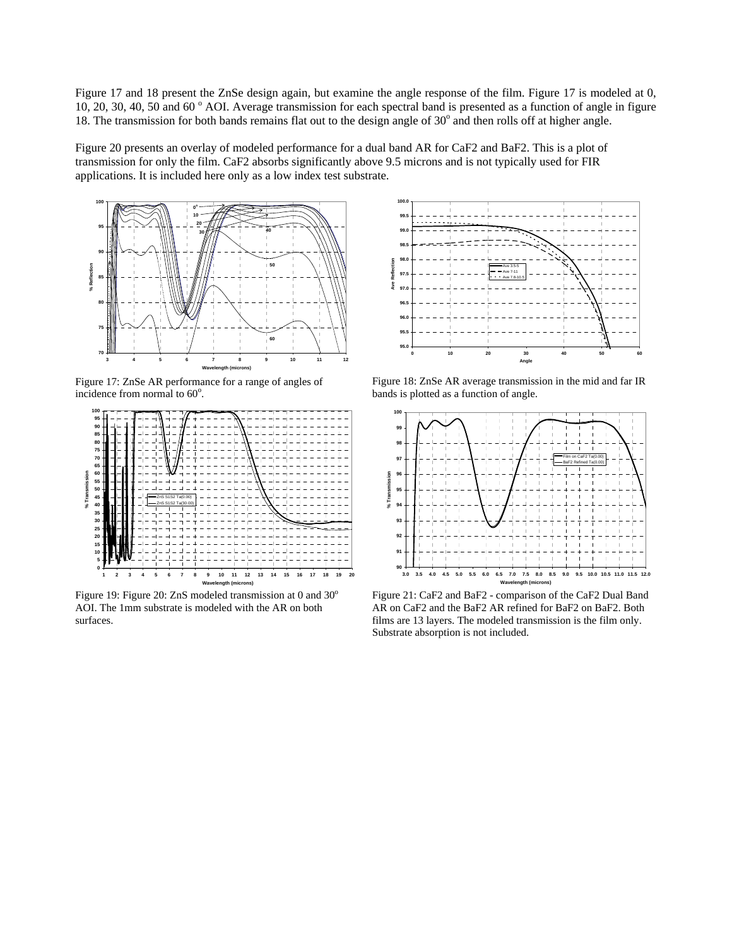Figure 17 and 18 present the ZnSe design again, but examine the angle response of the film. Figure 17 is modeled at 0, 10, 20, 30, 40, 50 and 60 ° AOI. Average transmission for each spectral band is presented as a function of angle in figure 18. The transmission for both bands remains flat out to the design angle of  $30^{\circ}$  and then rolls off at higher angle.

Figure 20 presents an overlay of modeled performance for a dual band AR for CaF2 and BaF2. This is a plot of transmission for only the film. CaF2 absorbs significantly above 9.5 microns and is not typically used for FIR applications. It is included here only as a low index test substrate.



Figure 17: ZnSe AR performance for a range of angles of incidence from normal to 60<sup>°</sup>.



Figure 19: Figure 20: ZnS modeled transmission at 0 and  $30^{\circ}$ AOI. The 1mm substrate is modeled with the AR on both surfaces.



Figure 18: ZnSe AR average transmission in the mid and far IR bands is plotted as a function of angle.



Figure 21: CaF2 and BaF2 - comparison of the CaF2 Dual Band AR on CaF2 and the BaF2 AR refined for BaF2 on BaF2. Both films are 13 layers. The modeled transmission is the film only. Substrate absorption is not included.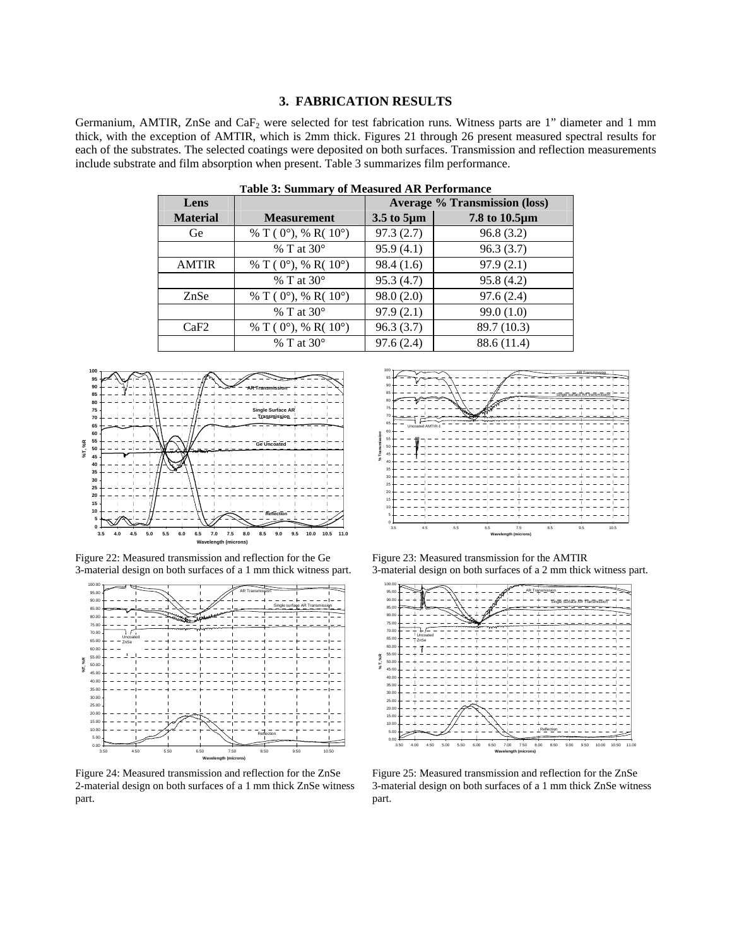#### **3. FABRICATION RESULTS**

Germanium, AMTIR, ZnSe and  $CaF<sub>2</sub>$  were selected for test fabrication runs. Witness parts are 1" diameter and 1 mm thick, with the exception of AMTIR, which is 2mm thick. Figures 21 through 26 present measured spectral results for each of the substrates. The selected coatings were deposited on both surfaces. Transmission and reflection measurements include substrate and film absorption when present. Table 3 summarizes film performance.

| Lens            |                                          | <b>Average % Transmission (loss)</b> |               |  |  |  |  |
|-----------------|------------------------------------------|--------------------------------------|---------------|--|--|--|--|
| <b>Material</b> | <b>Measurement</b>                       | 3.5 to 5µm                           | 7.8 to 10.5µm |  |  |  |  |
| Ge              | % T ( $0^{\circ}$ ), % R( $10^{\circ}$ ) | 97.3(2.7)                            | 96.8(3.2)     |  |  |  |  |
|                 | $%$ T at 30 $^{\circ}$                   | 95.9(4.1)                            | 96.3(3.7)     |  |  |  |  |
| <b>AMTIR</b>    | % T ( $0^{\circ}$ ), % R( $10^{\circ}$ ) | 98.4(1.6)                            | 97.9(2.1)     |  |  |  |  |
|                 | $%$ T at 30 $^{\circ}$                   | 95.3(4.7)                            | 95.8(4.2)     |  |  |  |  |
| ZnSe            | % T ( $0^{\circ}$ ), % R( $10^{\circ}$ ) | 98.0(2.0)                            | 97.6(2.4)     |  |  |  |  |
|                 | $%$ T at 30 $^{\circ}$                   | 97.9(2.1)                            | 99.0(1.0)     |  |  |  |  |
| CaF2            | % T ( $0^{\circ}$ ), % R( $10^{\circ}$ ) | 96.3(3.7)                            | 89.7 (10.3)   |  |  |  |  |
|                 | $%$ T at 30 $^{\circ}$                   | 97.6(2.4)                            | 88.6 (11.4)   |  |  |  |  |
|                 |                                          |                                      |               |  |  |  |  |

**Table 3: Summary of Measured AR Performance** 







Figure 24: Measured transmission and reflection for the ZnSe 2-material design on both surfaces of a 1 mm thick ZnSe witness part.



Figure 23: Measured transmission for the AMTIR 3-material design on both surfaces of a 2 mm thick witness part.



Figure 25: Measured transmission and reflection for the ZnSe 3-material design on both surfaces of a 1 mm thick ZnSe witness part.